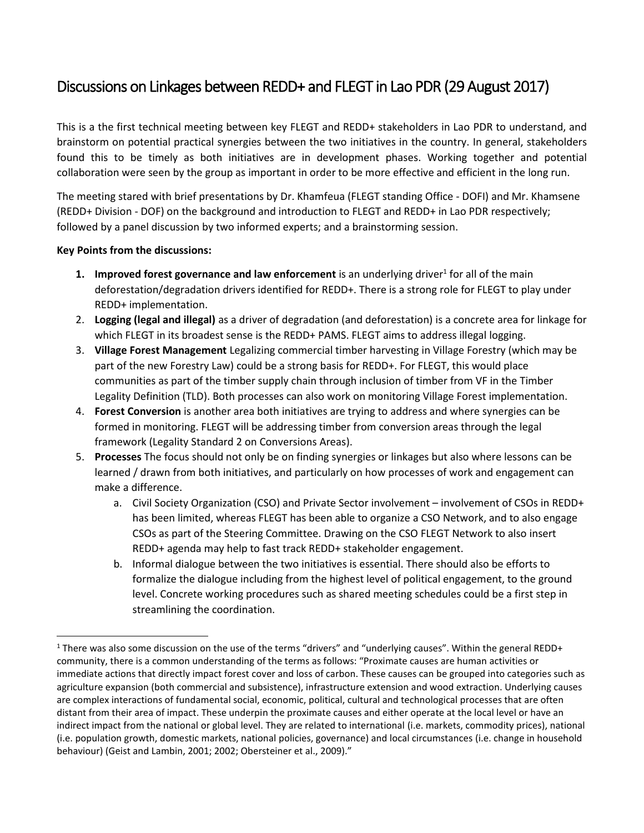# Discussions on Linkages between REDD+ and FLEGT in Lao PDR (29 August 2017)

This is a the first technical meeting between key FLEGT and REDD+ stakeholders in Lao PDR to understand, and brainstorm on potential practical synergies between the two initiatives in the country. In general, stakeholders found this to be timely as both initiatives are in development phases. Working together and potential collaboration were seen by the group as important in order to be more effective and efficient in the long run.

The meeting stared with brief presentations by Dr. Khamfeua (FLEGT standing Office - DOFI) and Mr. Khamsene (REDD+ Division - DOF) on the background and introduction to FLEGT and REDD+ in Lao PDR respectively; followed by a panel discussion by two informed experts; and a brainstorming session.

# **Key Points from the discussions:**

 $\overline{\phantom{a}}$ 

- **1. Improved forest governance and law enforcement** is an underlying driver<sup>1</sup> for all of the main deforestation/degradation drivers identified for REDD+. There is a strong role for FLEGT to play under REDD+ implementation.
- 2. **Logging (legal and illegal)** as a driver of degradation (and deforestation) is a concrete area for linkage for which FLEGT in its broadest sense is the REDD+ PAMS. FLEGT aims to address illegal logging.
- 3. **Village Forest Management** Legalizing commercial timber harvesting in Village Forestry (which may be part of the new Forestry Law) could be a strong basis for REDD+. For FLEGT, this would place communities as part of the timber supply chain through inclusion of timber from VF in the Timber Legality Definition (TLD). Both processes can also work on monitoring Village Forest implementation.
- 4. **Forest Conversion** is another area both initiatives are trying to address and where synergies can be formed in monitoring. FLEGT will be addressing timber from conversion areas through the legal framework (Legality Standard 2 on Conversions Areas).
- 5. **Processes** The focus should not only be on finding synergies or linkages but also where lessons can be learned / drawn from both initiatives, and particularly on how processes of work and engagement can make a difference.
	- a. Civil Society Organization (CSO) and Private Sector involvement involvement of CSOs in REDD+ has been limited, whereas FLEGT has been able to organize a CSO Network, and to also engage CSOs as part of the Steering Committee. Drawing on the CSO FLEGT Network to also insert REDD+ agenda may help to fast track REDD+ stakeholder engagement.
	- b. Informal dialogue between the two initiatives is essential. There should also be efforts to formalize the dialogue including from the highest level of political engagement, to the ground level. Concrete working procedures such as shared meeting schedules could be a first step in streamlining the coordination.

 $1$  There was also some discussion on the use of the terms "drivers" and "underlying causes". Within the general REDD+ community, there is a common understanding of the terms as follows: "Proximate causes are human activities or immediate actions that directly impact forest cover and loss of carbon. These causes can be grouped into categories such as agriculture expansion (both commercial and subsistence), infrastructure extension and wood extraction. Underlying causes are complex interactions of fundamental social, economic, political, cultural and technological processes that are often distant from their area of impact. These underpin the proximate causes and either operate at the local level or have an indirect impact from the national or global level. They are related to international (i.e. markets, commodity prices), national (i.e. population growth, domestic markets, national policies, governance) and local circumstances (i.e. change in household behaviour) (Geist and Lambin, 2001; 2002; Obersteiner et al., 2009)."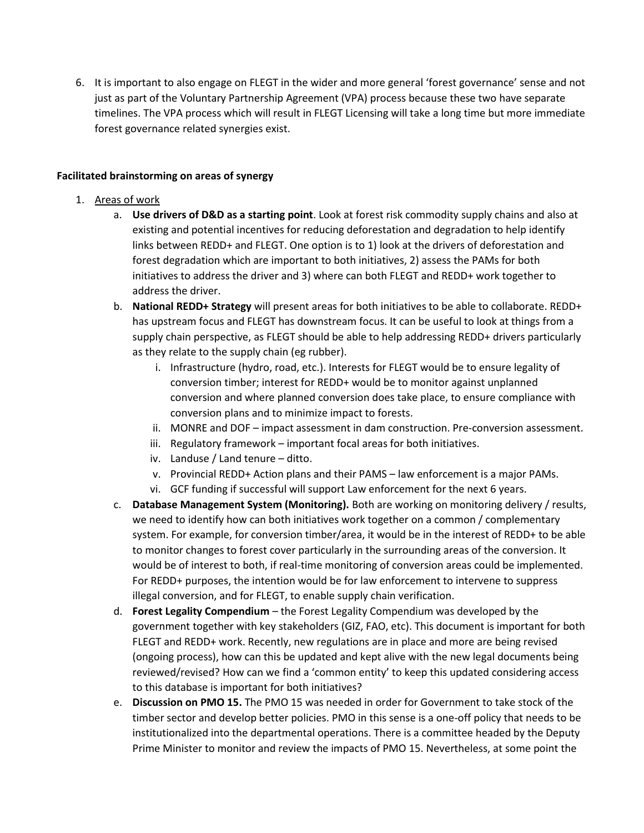6. It is important to also engage on FLEGT in the wider and more general 'forest governance' sense and not just as part of the Voluntary Partnership Agreement (VPA) process because these two have separate timelines. The VPA process which will result in FLEGT Licensing will take a long time but more immediate forest governance related synergies exist.

# **Facilitated brainstorming on areas of synergy**

- 1. Areas of work
	- a. **Use drivers of D&D as a starting point**. Look at forest risk commodity supply chains and also at existing and potential incentives for reducing deforestation and degradation to help identify links between REDD+ and FLEGT. One option is to 1) look at the drivers of deforestation and forest degradation which are important to both initiatives, 2) assess the PAMs for both initiatives to address the driver and 3) where can both FLEGT and REDD+ work together to address the driver.
	- b. **National REDD+ Strategy** will present areas for both initiatives to be able to collaborate. REDD+ has upstream focus and FLEGT has downstream focus. It can be useful to look at things from a supply chain perspective, as FLEGT should be able to help addressing REDD+ drivers particularly as they relate to the supply chain (eg rubber).
		- i. Infrastructure (hydro, road, etc.). Interests for FLEGT would be to ensure legality of conversion timber; interest for REDD+ would be to monitor against unplanned conversion and where planned conversion does take place, to ensure compliance with conversion plans and to minimize impact to forests.
		- ii. MONRE and DOF impact assessment in dam construction. Pre-conversion assessment.
		- iii. Regulatory framework important focal areas for both initiatives.
		- iv. Landuse / Land tenure ditto.
		- v. Provincial REDD+ Action plans and their PAMS law enforcement is a major PAMs.
		- vi. GCF funding if successful will support Law enforcement for the next 6 years.
	- c. **Database Management System (Monitoring).** Both are working on monitoring delivery / results, we need to identify how can both initiatives work together on a common / complementary system. For example, for conversion timber/area, it would be in the interest of REDD+ to be able to monitor changes to forest cover particularly in the surrounding areas of the conversion. It would be of interest to both, if real-time monitoring of conversion areas could be implemented. For REDD+ purposes, the intention would be for law enforcement to intervene to suppress illegal conversion, and for FLEGT, to enable supply chain verification.
	- d. **Forest Legality Compendium** the Forest Legality Compendium was developed by the government together with key stakeholders (GIZ, FAO, etc). This document is important for both FLEGT and REDD+ work. Recently, new regulations are in place and more are being revised (ongoing process), how can this be updated and kept alive with the new legal documents being reviewed/revised? How can we find a 'common entity' to keep this updated considering access to this database is important for both initiatives?
	- e. **Discussion on PMO 15.** The PMO 15 was needed in order for Government to take stock of the timber sector and develop better policies. PMO in this sense is a one-off policy that needs to be institutionalized into the departmental operations. There is a committee headed by the Deputy Prime Minister to monitor and review the impacts of PMO 15. Nevertheless, at some point the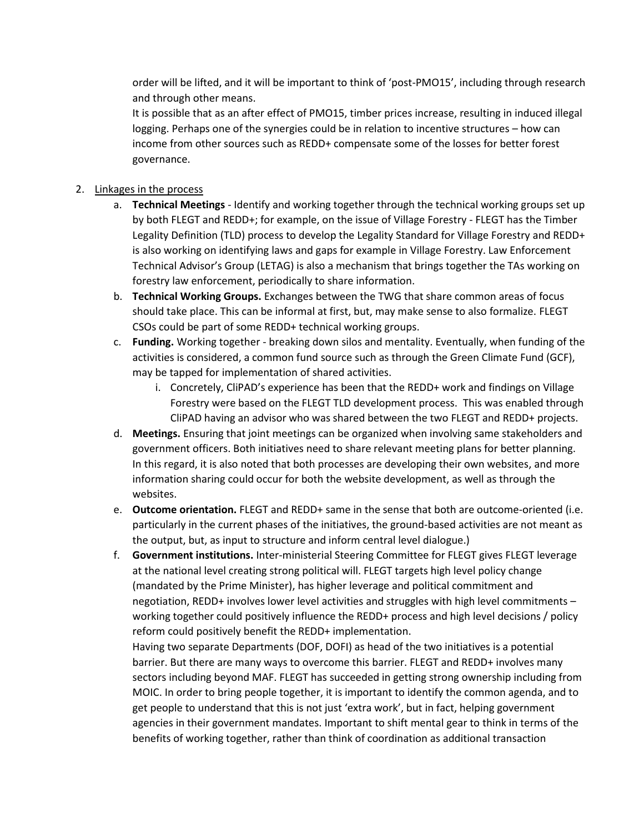order will be lifted, and it will be important to think of 'post-PMO15', including through research and through other means.

It is possible that as an after effect of PMO15, timber prices increase, resulting in induced illegal logging. Perhaps one of the synergies could be in relation to incentive structures – how can income from other sources such as REDD+ compensate some of the losses for better forest governance.

# 2. Linkages in the process

- a. **Technical Meetings** Identify and working together through the technical working groups set up by both FLEGT and REDD+; for example, on the issue of Village Forestry - FLEGT has the Timber Legality Definition (TLD) process to develop the Legality Standard for Village Forestry and REDD+ is also working on identifying laws and gaps for example in Village Forestry. Law Enforcement Technical Advisor's Group (LETAG) is also a mechanism that brings together the TAs working on forestry law enforcement, periodically to share information.
- b. **Technical Working Groups.** Exchanges between the TWG that share common areas of focus should take place. This can be informal at first, but, may make sense to also formalize. FLEGT CSOs could be part of some REDD+ technical working groups.
- c. **Funding.** Working together breaking down silos and mentality. Eventually, when funding of the activities is considered, a common fund source such as through the Green Climate Fund (GCF), may be tapped for implementation of shared activities.
	- i. Concretely, CliPAD's experience has been that the REDD+ work and findings on Village Forestry were based on the FLEGT TLD development process. This was enabled through CliPAD having an advisor who was shared between the two FLEGT and REDD+ projects.
- d. **Meetings.** Ensuring that joint meetings can be organized when involving same stakeholders and government officers. Both initiatives need to share relevant meeting plans for better planning. In this regard, it is also noted that both processes are developing their own websites, and more information sharing could occur for both the website development, as well as through the websites.
- e. **Outcome orientation.** FLEGT and REDD+ same in the sense that both are outcome-oriented (i.e. particularly in the current phases of the initiatives, the ground-based activities are not meant as the output, but, as input to structure and inform central level dialogue.)
- f. **Government institutions.** Inter-ministerial Steering Committee for FLEGT gives FLEGT leverage at the national level creating strong political will. FLEGT targets high level policy change (mandated by the Prime Minister), has higher leverage and political commitment and negotiation, REDD+ involves lower level activities and struggles with high level commitments – working together could positively influence the REDD+ process and high level decisions / policy reform could positively benefit the REDD+ implementation.

Having two separate Departments (DOF, DOFI) as head of the two initiatives is a potential barrier. But there are many ways to overcome this barrier. FLEGT and REDD+ involves many sectors including beyond MAF. FLEGT has succeeded in getting strong ownership including from MOIC. In order to bring people together, it is important to identify the common agenda, and to get people to understand that this is not just 'extra work', but in fact, helping government agencies in their government mandates. Important to shift mental gear to think in terms of the benefits of working together, rather than think of coordination as additional transaction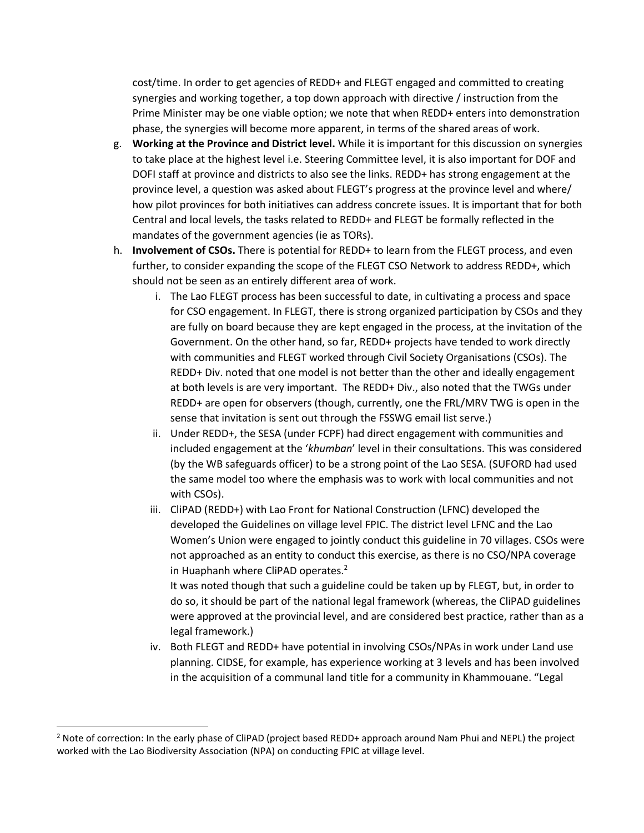cost/time. In order to get agencies of REDD+ and FLEGT engaged and committed to creating synergies and working together, a top down approach with directive / instruction from the Prime Minister may be one viable option; we note that when REDD+ enters into demonstration phase, the synergies will become more apparent, in terms of the shared areas of work.

- g. **Working at the Province and District level.** While it is important for this discussion on synergies to take place at the highest level i.e. Steering Committee level, it is also important for DOF and DOFI staff at province and districts to also see the links. REDD+ has strong engagement at the province level, a question was asked about FLEGT's progress at the province level and where/ how pilot provinces for both initiatives can address concrete issues. It is important that for both Central and local levels, the tasks related to REDD+ and FLEGT be formally reflected in the mandates of the government agencies (ie as TORs).
- h. **Involvement of CSOs.** There is potential for REDD+ to learn from the FLEGT process, and even further, to consider expanding the scope of the FLEGT CSO Network to address REDD+, which should not be seen as an entirely different area of work.
	- i. The Lao FLEGT process has been successful to date, in cultivating a process and space for CSO engagement. In FLEGT, there is strong organized participation by CSOs and they are fully on board because they are kept engaged in the process, at the invitation of the Government. On the other hand, so far, REDD+ projects have tended to work directly with communities and FLEGT worked through Civil Society Organisations (CSOs). The REDD+ Div. noted that one model is not better than the other and ideally engagement at both levels is are very important. The REDD+ Div., also noted that the TWGs under REDD+ are open for observers (though, currently, one the FRL/MRV TWG is open in the sense that invitation is sent out through the FSSWG email list serve.)
	- ii. Under REDD+, the SESA (under FCPF) had direct engagement with communities and included engagement at the '*khumban*' level in their consultations. This was considered (by the WB safeguards officer) to be a strong point of the Lao SESA. (SUFORD had used the same model too where the emphasis was to work with local communities and not with CSOs).
	- iii. CliPAD (REDD+) with Lao Front for National Construction (LFNC) developed the developed the Guidelines on village level FPIC. The district level LFNC and the Lao Women's Union were engaged to jointly conduct this guideline in 70 villages. CSOs were not approached as an entity to conduct this exercise, as there is no CSO/NPA coverage in Huaphanh where CliPAD operates.<sup>2</sup> It was noted though that such a guideline could be taken up by FLEGT, but, in order to

do so, it should be part of the national legal framework (whereas, the CliPAD guidelines were approved at the provincial level, and are considered best practice, rather than as a legal framework.)

iv. Both FLEGT and REDD+ have potential in involving CSOs/NPAs in work under Land use planning. CIDSE, for example, has experience working at 3 levels and has been involved in the acquisition of a communal land title for a community in Khammouane. "Legal

l

 $2$  Note of correction: In the early phase of CliPAD (project based REDD+ approach around Nam Phui and NEPL) the project worked with the Lao Biodiversity Association (NPA) on conducting FPIC at village level.